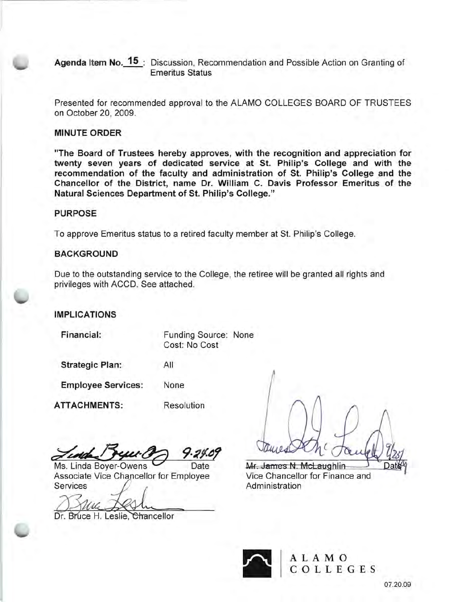Agenda Item No. 15: Discussion, Recommendation and Possible Action on Granting of Emeritus Status

Presented for recommended approval to the ALAMO COLLEGES BOARD OF TRUSTEES on October 20, 2009.

## MINUTE ORDER

"The Board of Trustees hereby approves, with the recognition and appreciation for twenty seven years of dedicated service at St. Philip's College and with the recommendation of the faculty and administration of St. Philip's College and the Chancellor of the District, name Dr. William C. Davis Professor Emeritus of the Natural Sciences Department of St. Philip's College."

## PURPOSE

To approve Emeritus status to a retired faculty member at St. Philip's College.

## **BACKGROUND**

Due to the outstanding service to the College, the retiree will be granted all rights and privileges with ACCD. See attached.

## IMPLICATIONS

Financial:

Funding Source: None Cost: No Cost

Strategic Plan:

Employee Services: None

ATTACHMENTS:

Resolution

All

Ms. Linda Boyer-Owens Date Associate Vice Chancellor for Employee Services

Dr. Bruce H. Leslie, Chancellor

Mr. James N. McLaughlin Vice Chancellor for Finance and Administration



A LAM 0 COLLEGES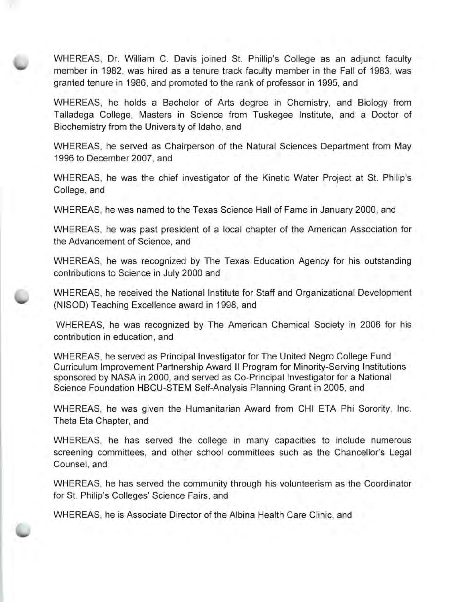WHEREAS, Dr. William C. Davis joined St. Phillip's College as an adjunct faculty member in 1982, was hired as a tenure track faculty member in the Fall of 1983, was granted tenure in 1986, and promoted to the rank of professor in 1995, and

WHEREAS, he holds a Bachelor of Arts degree in Chemistry, and Biology from Talladega College, Masters in Science from Tuskegee Institute, and a Doctor of Biochemistry from the University of Idaho, and

WHEREAS, he served as Chairperson of the Natural Sciences Department from May 1996 to December 2007, and

WHEREAS, he was the chief investigator of the Kinetic Water Project at St. Philip's College, and

WHEREAS, he was named to the Texas Science Hall of Fame in January 2000, and

WHEREAS, he was past president of a local chapter of the American Association for the Advancement of Science, and

WHEREAS, he was recognized by The Texas Education Agency for his outstanding contributions to Science in July 2000 and

WHEREAS, he received the National Institute for Staff and Organizational Development (NISOD) Teaching Excellence award in 1998, and

WHEREAS, he was recognized by The American Chemical Society in 2006 for his contribution in education, and

WHEREAS, he served as Principal Investigator for The United Negro College Fund Curriculum Improvement Partnership Award **II** Program for Minority-Serving Institutions sponsored by NASA in 2000, and served as Co-Principal Investigator for a National Science Foundation HBCU-STEM Self-Analysis Planning Grant in 2005, and

WHEREAS, he was given the Humanitarian Award from CHI ETA Phi Sorority, Inc. Theta Eta Chapter, and

WHEREAS, he has served the college in many capacities to include numerous screening committees, and other school committees such as the Chancellor's Legal Counsel, and

WHEREAS, he has served the community through his volunteerism as the Coordinator for St. Philip's Colleges' Science Fairs, and

WHEREAS, he is Associate Director of the Albina Health Care Clinic, and